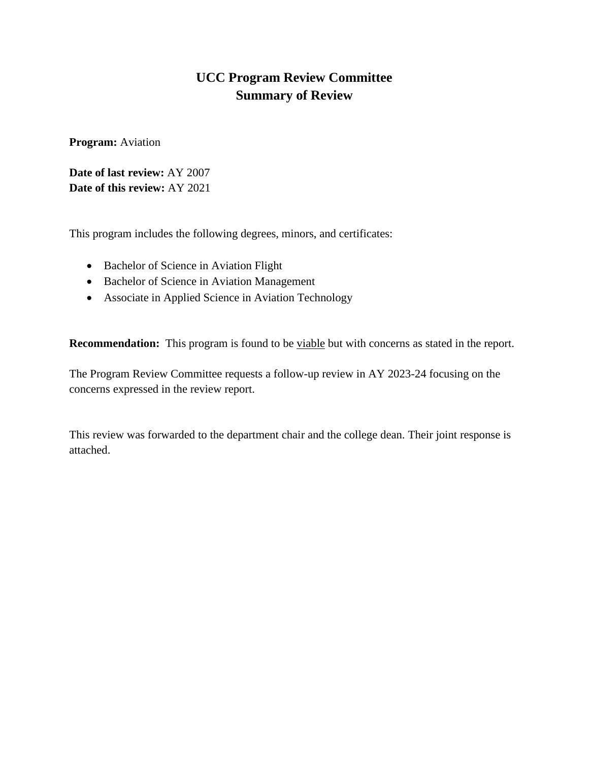# **UCC Program Review Committee Summary of Review**

**Program:** Aviation

**Date of last review:** AY 2007 **Date of this review:** AY 2021

This program includes the following degrees, minors, and certificates:

- Bachelor of Science in Aviation Flight
- Bachelor of Science in Aviation Management
- Associate in Applied Science in Aviation Technology

**Recommendation:** This program is found to be viable but with concerns as stated in the report.

The Program Review Committee requests a follow-up review in AY 2023-24 focusing on the concerns expressed in the review report.

This review was forwarded to the department chair and the college dean. Their joint response is attached.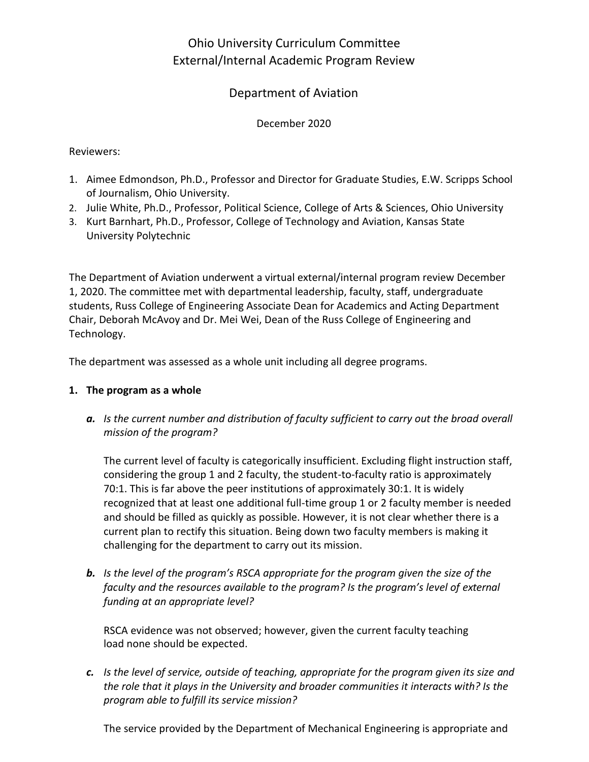# Ohio University Curriculum Committee External/Internal Academic Program Review

## Department of Aviation

## December 2020

## Reviewers:

- 1. Aimee Edmondson, Ph.D., Professor and Director for Graduate Studies, E.W. Scripps School of Journalism, Ohio University.
- 2. Julie White, Ph.D., Professor, Political Science, College of Arts & Sciences, Ohio University
- 3. Kurt Barnhart, Ph.D., Professor, College of Technology and Aviation, Kansas State University Polytechnic

The Department of Aviation underwent a virtual external/internal program review December 1, 2020. The committee met with departmental leadership, faculty, staff, undergraduate students, Russ College of Engineering Associate Dean for Academics and Acting Department Chair, Deborah McAvoy and Dr. Mei Wei, Dean of the Russ College of Engineering and Technology.

The department was assessed as a whole unit including all degree programs.

## **1. The program as a whole**

*a. Is the current number and distribution of faculty sufficient to carry out the broad overall mission of the program?*

The current level of faculty is categorically insufficient. Excluding flight instruction staff, considering the group 1 and 2 faculty, the student-to-faculty ratio is approximately 70:1. This is far above the peer institutions of approximately 30:1. It is widely recognized that at least one additional full-time group 1 or 2 faculty member is needed and should be filled as quickly as possible. However, it is not clear whether there is a current plan to rectify this situation. Being down two faculty members is making it challenging for the department to carry out its mission.

*b. Is the level of the program's RSCA appropriate for the program given the size of the faculty and the resources available to the program? Is the program's level of external funding at an appropriate level?*

RSCA evidence was not observed; however, given the current faculty teaching load none should be expected.

*c. Is the level of service, outside of teaching, appropriate for the program given its size and the role that it plays in the University and broader communities it interacts with? Is the program able to fulfill its service mission?*

The service provided by the Department of Mechanical Engineering is appropriate and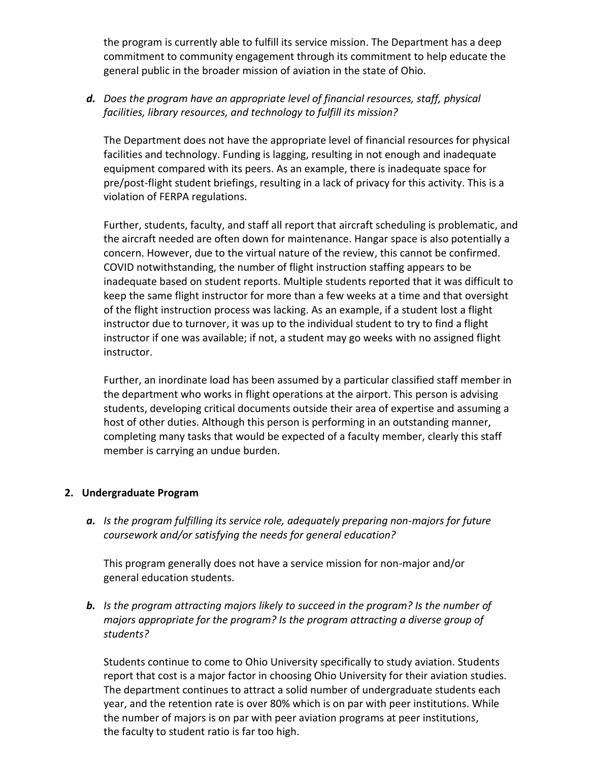the program is currently able to fulfill its service mission. The Department has a deep commitment to community engagement through its commitment to help educate the general public in the broader mission of aviation in the state of Ohio.

## *d. Does the program have an appropriate level of financial resources, staff, physical facilities, library resources, and technology to fulfill its mission?*

The Department does not have the appropriate level of financial resources for physical facilities and technology. Funding is lagging, resulting in not enough and inadequate equipment compared with its peers. As an example, there is inadequate space for pre/post-flight student briefings, resulting in a lack of privacy for this activity. This is a violation of FERPA regulations.

Further, students, faculty, and staff all report that aircraft scheduling is problematic, and the aircraft needed are often down for maintenance. Hangar space is also potentially a concern. However, due to the virtual nature of the review, this cannot be confirmed. COVID notwithstanding, the number of flight instruction staffing appears to be inadequate based on student reports. Multiple students reported that it was difficult to keep the same flight instructor for more than a few weeks at a time and that oversight of the flight instruction process was lacking. As an example, if a student lost a flight instructor due to turnover, it was up to the individual student to try to find a flight instructor if one was available; if not, a student may go weeks with no assigned flight instructor.

Further, an inordinate load has been assumed by a particular classified staff member in the department who works in flight operations at the airport. This person is advising students, developing critical documents outside their area of expertise and assuming a host of other duties. Although this person is performing in an outstanding manner, completing many tasks that would be expected of a faculty member, clearly this staff member is carrying an undue burden.

#### **2. Undergraduate Program**

*a. Is the program fulfilling its service role, adequately preparing non-majors for future coursework and/or satisfying the needs for general education?*

This program generally does not have a service mission for non-major and/or general education students.

*b. Is the program attracting majors likely to succeed in the program? Is the number of majors appropriate for the program? Is the program attracting a diverse group of students?*

Students continue to come to Ohio University specifically to study aviation. Students report that cost is a major factor in choosing Ohio University for their aviation studies. The department continues to attract a solid number of undergraduate students each year, and the retention rate is over 80% which is on par with peer institutions. While the number of majors is on par with peer aviation programs at peer institutions, the faculty to student ratio is far too high.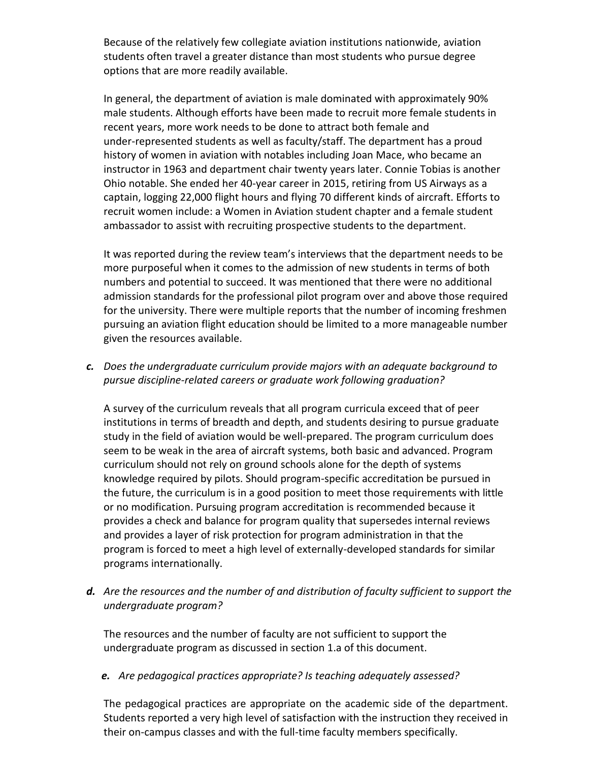Because of the relatively few collegiate aviation institutions nationwide, aviation students often travel a greater distance than most students who pursue degree options that are more readily available.

In general, the department of aviation is male dominated with approximately 90% male students. Although efforts have been made to recruit more female students in recent years, more work needs to be done to attract both female and under-represented students as well as faculty/staff. The department has a proud history of women in aviation with notables including Joan Mace, who became an instructor in 1963 and department chair twenty years later. Connie Tobias is another Ohio notable. She ended her 40-year career in 2015, retiring from US Airways as a captain, logging 22,000 flight hours and flying 70 different kinds of aircraft. Efforts to recruit women include: a Women in Aviation student chapter and a female student ambassador to assist with recruiting prospective students to the department.

It was reported during the review team's interviews that the department needs to be more purposeful when it comes to the admission of new students in terms of both numbers and potential to succeed. It was mentioned that there were no additional admission standards for the professional pilot program over and above those required for the university. There were multiple reports that the number of incoming freshmen pursuing an aviation flight education should be limited to a more manageable number given the resources available.

*c. Does the undergraduate curriculum provide majors with an adequate background to pursue discipline-related careers or graduate work following graduation?*

A survey of the curriculum reveals that all program curricula exceed that of peer institutions in terms of breadth and depth, and students desiring to pursue graduate study in the field of aviation would be well-prepared. The program curriculum does seem to be weak in the area of aircraft systems, both basic and advanced. Program curriculum should not rely on ground schools alone for the depth of systems knowledge required by pilots. Should program-specific accreditation be pursued in the future, the curriculum is in a good position to meet those requirements with little or no modification. Pursuing program accreditation is recommended because it provides a check and balance for program quality that supersedes internal reviews and provides a layer of risk protection for program administration in that the program is forced to meet a high level of externally-developed standards for similar programs internationally.

*d. Are the resources and the number of and distribution of faculty sufficient to support the undergraduate program?*

The resources and the number of faculty are not sufficient to support the undergraduate program as discussed in section 1.a of this document.

*e. Are pedagogical practices appropriate? Is teaching adequately assessed?*

The pedagogical practices are appropriate on the academic side of the department. Students reported a very high level of satisfaction with the instruction they received in their on-campus classes and with the full-time faculty members specifically.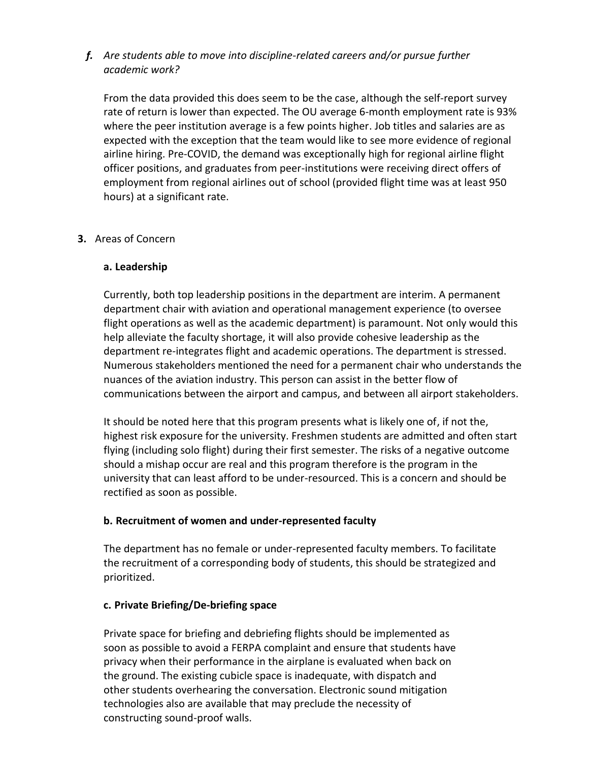## *f. Are students able to move into discipline-related careers and/or pursue further academic work?*

From the data provided this does seem to be the case, although the self-report survey rate of return is lower than expected. The OU average 6-month employment rate is 93% where the peer institution average is a few points higher. Job titles and salaries are as expected with the exception that the team would like to see more evidence of regional airline hiring. Pre-COVID, the demand was exceptionally high for regional airline flight officer positions, and graduates from peer-institutions were receiving direct offers of employment from regional airlines out of school (provided flight time was at least 950 hours) at a significant rate.

## **3.** Areas of Concern

## **a. Leadership**

Currently, both top leadership positions in the department are interim. A permanent department chair with aviation and operational management experience (to oversee flight operations as well as the academic department) is paramount. Not only would this help alleviate the faculty shortage, it will also provide cohesive leadership as the department re-integrates flight and academic operations. The department is stressed. Numerous stakeholders mentioned the need for a permanent chair who understands the nuances of the aviation industry. This person can assist in the better flow of communications between the airport and campus, and between all airport stakeholders.

It should be noted here that this program presents what is likely one of, if not the, highest risk exposure for the university. Freshmen students are admitted and often start flying (including solo flight) during their first semester. The risks of a negative outcome should a mishap occur are real and this program therefore is the program in the university that can least afford to be under-resourced. This is a concern and should be rectified as soon as possible.

## **b. Recruitment of women and under-represented faculty**

The department has no female or under-represented faculty members. To facilitate the recruitment of a corresponding body of students, this should be strategized and prioritized.

#### **c. Private Briefing/De-briefing space**

Private space for briefing and debriefing flights should be implemented as soon as possible to avoid a FERPA complaint and ensure that students have privacy when their performance in the airplane is evaluated when back on the ground. The existing cubicle space is inadequate, with dispatch and other students overhearing the conversation. Electronic sound mitigation technologies also are available that may preclude the necessity of constructing sound-proof walls.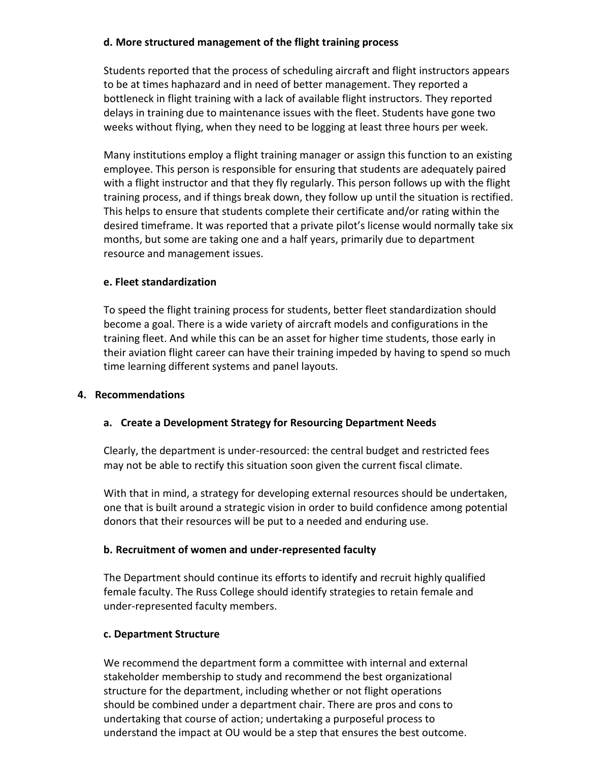## **d. More structured management of the flight training process**

Students reported that the process of scheduling aircraft and flight instructors appears to be at times haphazard and in need of better management. They reported a bottleneck in flight training with a lack of available flight instructors. They reported delays in training due to maintenance issues with the fleet. Students have gone two weeks without flying, when they need to be logging at least three hours per week.

Many institutions employ a flight training manager or assign this function to an existing employee. This person is responsible for ensuring that students are adequately paired with a flight instructor and that they fly regularly. This person follows up with the flight training process, and if things break down, they follow up until the situation is rectified. This helps to ensure that students complete their certificate and/or rating within the desired timeframe. It was reported that a private pilot's license would normally take six months, but some are taking one and a half years, primarily due to department resource and management issues.

### **e. Fleet standardization**

To speed the flight training process for students, better fleet standardization should become a goal. There is a wide variety of aircraft models and configurations in the training fleet. And while this can be an asset for higher time students, those early in their aviation flight career can have their training impeded by having to spend so much time learning different systems and panel layouts.

## **4. Recommendations**

## **a. Create a Development Strategy for Resourcing Department Needs**

Clearly, the department is under-resourced: the central budget and restricted fees may not be able to rectify this situation soon given the current fiscal climate.

With that in mind, a strategy for developing external resources should be undertaken, one that is built around a strategic vision in order to build confidence among potential donors that their resources will be put to a needed and enduring use.

## **b. Recruitment of women and under-represented faculty**

The Department should continue its efforts to identify and recruit highly qualified female faculty. The Russ College should identify strategies to retain female and under-represented faculty members.

## **c. Department Structure**

We recommend the department form a committee with internal and external stakeholder membership to study and recommend the best organizational structure for the department, including whether or not flight operations should be combined under a department chair. There are pros and cons to undertaking that course of action; undertaking a purposeful process to understand the impact at OU would be a step that ensures the best outcome.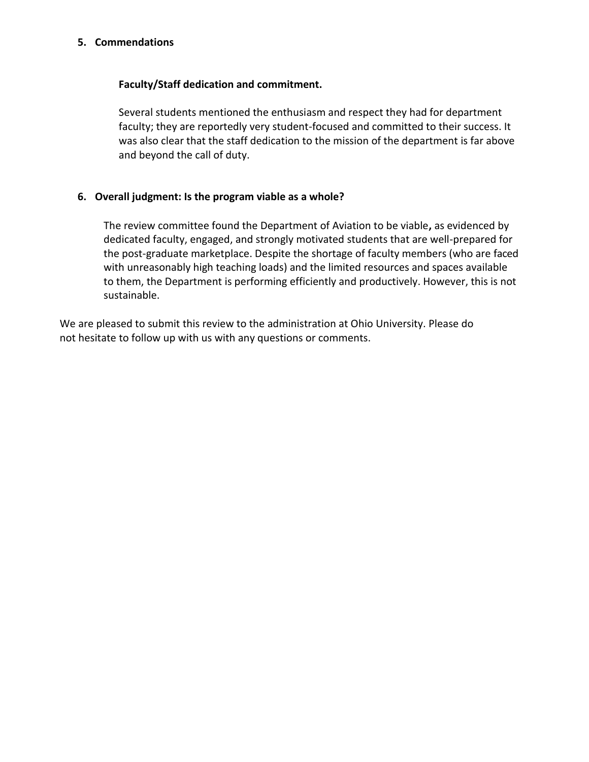#### **5. Commendations**

#### **Faculty/Staff dedication and commitment.**

Several students mentioned the enthusiasm and respect they had for department faculty; they are reportedly very student-focused and committed to their success. It was also clear that the staff dedication to the mission of the department is far above and beyond the call of duty.

#### **6. Overall judgment: Is the program viable as a whole?**

The review committee found the Department of Aviation to be viable**,** as evidenced by dedicated faculty, engaged, and strongly motivated students that are well-prepared for the post-graduate marketplace. Despite the shortage of faculty members (who are faced with unreasonably high teaching loads) and the limited resources and spaces available to them, the Department is performing efficiently and productively. However, this is not sustainable.

We are pleased to submit this review to the administration at Ohio University. Please do not hesitate to follow up with us with any questions or comments.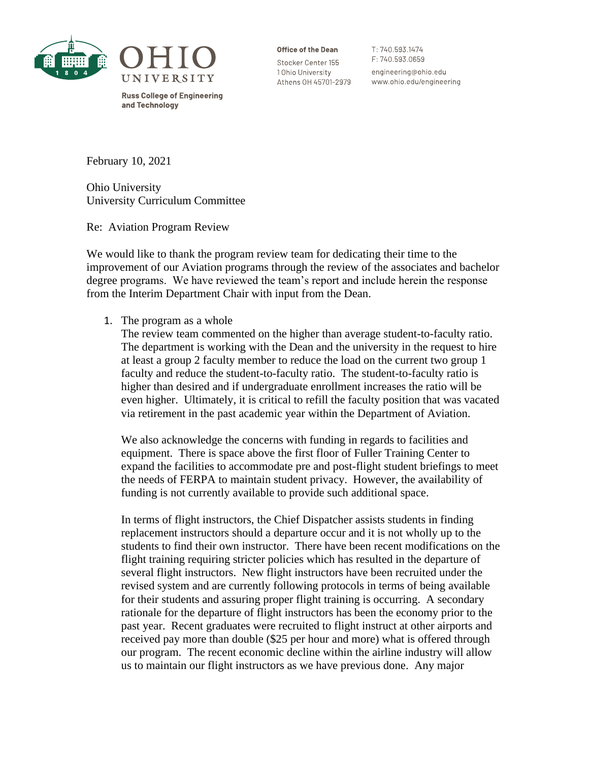

**Russ College of Engineering** and Technology

Office of the Dean

Stocker Center 155 1 Ohio University Athens OH 45701-2979 T: 740.593.1474 F: 740.593.0659 engineering@ohio.edu www.ohio.edu/engineering

February 10, 2021

Ohio University University Curriculum Committee

Re: Aviation Program Review

We would like to thank the program review team for dedicating their time to the improvement of our Aviation programs through the review of the associates and bachelor degree programs. We have reviewed the team's report and include herein the response from the Interim Department Chair with input from the Dean.

1. The program as a whole

The review team commented on the higher than average student-to-faculty ratio. The department is working with the Dean and the university in the request to hire at least a group 2 faculty member to reduce the load on the current two group 1 faculty and reduce the student-to-faculty ratio. The student-to-faculty ratio is higher than desired and if undergraduate enrollment increases the ratio will be even higher. Ultimately, it is critical to refill the faculty position that was vacated via retirement in the past academic year within the Department of Aviation.

We also acknowledge the concerns with funding in regards to facilities and equipment. There is space above the first floor of Fuller Training Center to expand the facilities to accommodate pre and post-flight student briefings to meet the needs of FERPA to maintain student privacy. However, the availability of funding is not currently available to provide such additional space.

In terms of flight instructors, the Chief Dispatcher assists students in finding replacement instructors should a departure occur and it is not wholly up to the students to find their own instructor. There have been recent modifications on the flight training requiring stricter policies which has resulted in the departure of several flight instructors. New flight instructors have been recruited under the revised system and are currently following protocols in terms of being available for their students and assuring proper flight training is occurring. A secondary rationale for the departure of flight instructors has been the economy prior to the past year. Recent graduates were recruited to flight instruct at other airports and received pay more than double (\$25 per hour and more) what is offered through our program. The recent economic decline within the airline industry will allow us to maintain our flight instructors as we have previous done. Any major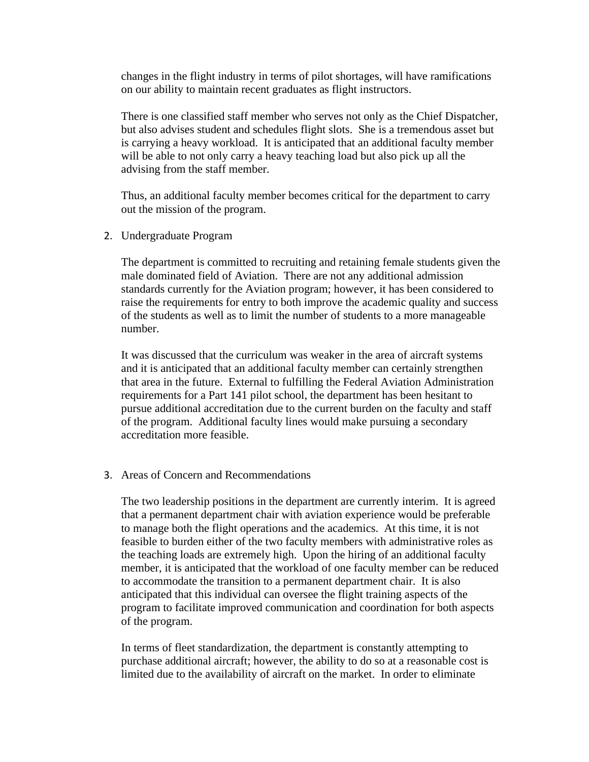changes in the flight industry in terms of pilot shortages, will have ramifications on our ability to maintain recent graduates as flight instructors.

There is one classified staff member who serves not only as the Chief Dispatcher, but also advises student and schedules flight slots. She is a tremendous asset but is carrying a heavy workload. It is anticipated that an additional faculty member will be able to not only carry a heavy teaching load but also pick up all the advising from the staff member.

Thus, an additional faculty member becomes critical for the department to carry out the mission of the program.

2. Undergraduate Program

The department is committed to recruiting and retaining female students given the male dominated field of Aviation. There are not any additional admission standards currently for the Aviation program; however, it has been considered to raise the requirements for entry to both improve the academic quality and success of the students as well as to limit the number of students to a more manageable number.

It was discussed that the curriculum was weaker in the area of aircraft systems and it is anticipated that an additional faculty member can certainly strengthen that area in the future. External to fulfilling the Federal Aviation Administration requirements for a Part 141 pilot school, the department has been hesitant to pursue additional accreditation due to the current burden on the faculty and staff of the program. Additional faculty lines would make pursuing a secondary accreditation more feasible.

#### 3. Areas of Concern and Recommendations

The two leadership positions in the department are currently interim. It is agreed that a permanent department chair with aviation experience would be preferable to manage both the flight operations and the academics. At this time, it is not feasible to burden either of the two faculty members with administrative roles as the teaching loads are extremely high. Upon the hiring of an additional faculty member, it is anticipated that the workload of one faculty member can be reduced to accommodate the transition to a permanent department chair. It is also anticipated that this individual can oversee the flight training aspects of the program to facilitate improved communication and coordination for both aspects of the program.

In terms of fleet standardization, the department is constantly attempting to purchase additional aircraft; however, the ability to do so at a reasonable cost is limited due to the availability of aircraft on the market. In order to eliminate